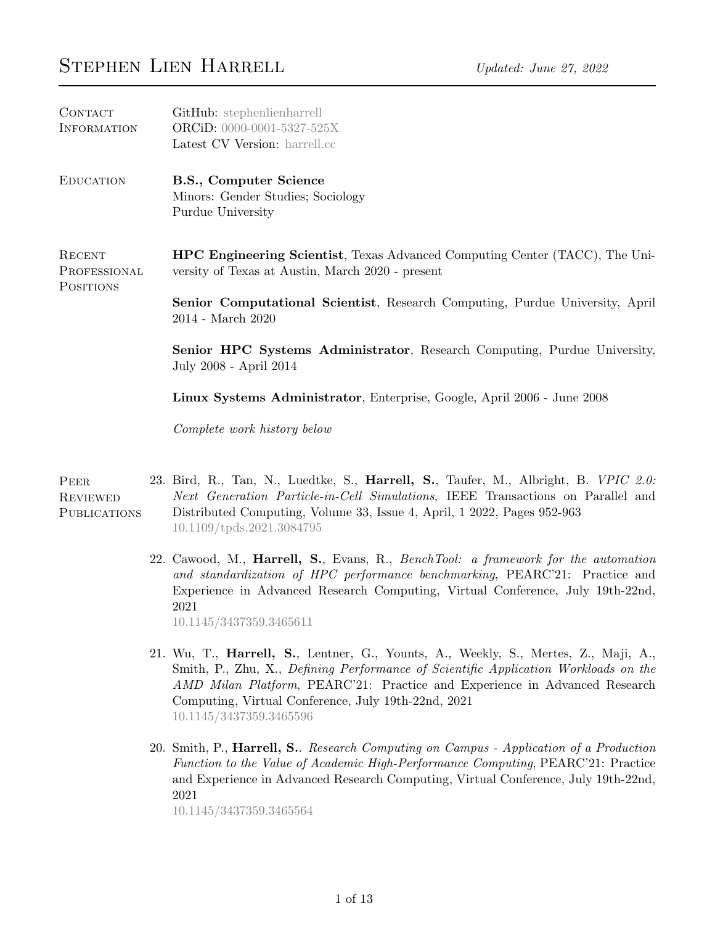| CONTACT<br><b>INFORMATION</b>                  | GitHub: stephenlienharrell<br>ORCiD: 0000-0001-5327-525X<br>Latest CV Version: harrell.cc                                                                                                                                                                                              |
|------------------------------------------------|----------------------------------------------------------------------------------------------------------------------------------------------------------------------------------------------------------------------------------------------------------------------------------------|
| <b>EDUCATION</b>                               | B.S., Computer Science<br>Minors: Gender Studies; Sociology<br>Purdue University                                                                                                                                                                                                       |
| RECENT<br>PROFESSIONAL<br><b>POSITIONS</b>     | <b>HPC Engineering Scientist</b> , Texas Advanced Computing Center (TACC), The Uni-<br>versity of Texas at Austin, March 2020 - present                                                                                                                                                |
|                                                | <b>Senior Computational Scientist</b> , Research Computing, Purdue University, April<br>$2014$ - March $2020\,$                                                                                                                                                                        |
|                                                | Senior HPC Systems Administrator, Research Computing, Purdue University,<br>July 2008 - April 2014                                                                                                                                                                                     |
|                                                | Linux Systems Administrator, Enterprise, Google, April 2006 - June 2008                                                                                                                                                                                                                |
|                                                | Complete work history below                                                                                                                                                                                                                                                            |
| PEER<br><b>REVIEWED</b><br><b>PUBLICATIONS</b> | 23. Bird, R., Tan, N., Luedtke, S., <b>Harrell, S.</b> , Taufer, M., Albright, B. VPIC 2.0:<br>Next Generation Particle-in-Cell Simulations, IEEE Transactions on Parallel and<br>Distributed Computing, Volume 33, Issue 4, April, 1 2022, Pages 952-963<br>10.1109/tpds.2021.3084795 |
|                                                | 22. Cawood, M., Harrell, S., Evans, R., BenchTool: a framework for the automation<br>and standardization of HPC performance benchmarking, PEARC'21: Practice and                                                                                                                       |

- 22. Early 1. Harriers and Section the automation EARC'21: Practice and Experience in Advanced Research Computing, Virtual Conference, July 19th-22nd, 2021 [10.1145/3437359.3465611](https://doi.org/10.1145/3437359.3465611)
- 21. Wu, T., Harrell, S., Lentner, G., Younts, A., Weekly, S., Mertes, Z., Maji, A., Smith, P., Zhu, X., Defining Performance of Scientific Application Workloads on the AMD Milan Platform, PEARC'21: Practice and Experience in Advanced Research Computing, Virtual Conference, July 19th-22nd, 2021 [10.1145/3437359.3465596](https://doi.org/10.1145/3437359.3465596)
- 20. Smith, P., Harrell, S.. Research Computing on Campus Application of a Production Function to the Value of Academic High-Performance Computing, PEARC'21: Practice and Experience in Advanced Research Computing, Virtual Conference, July 19th-22nd, 2021

[10.1145/3437359.3465564](https://doi.org/10.1145/3437359.3465564)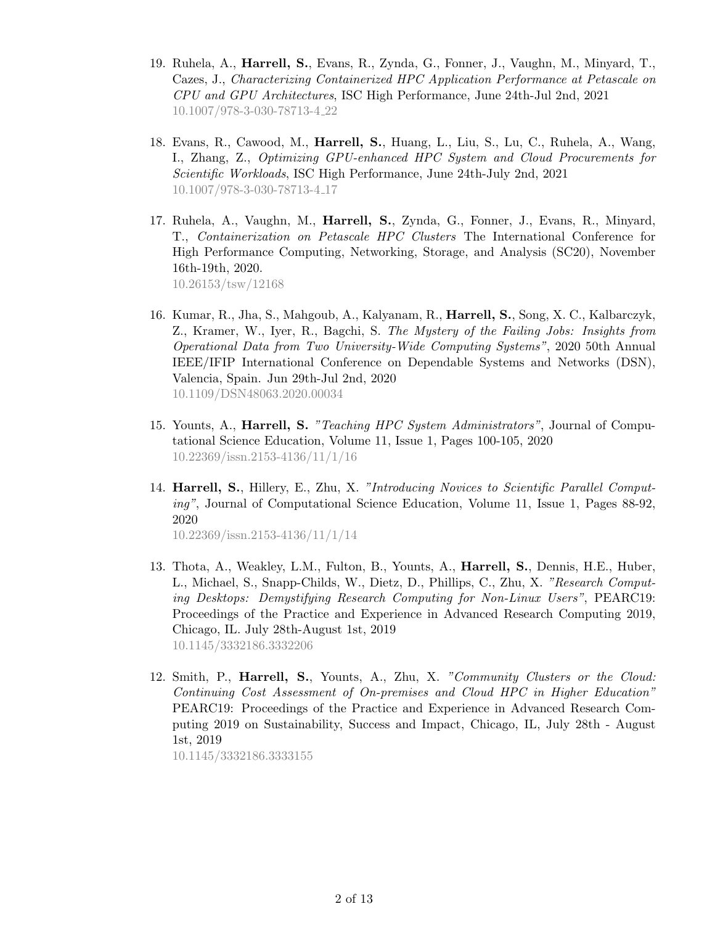- 19. Ruhela, A., Harrell, S., Evans, R., Zynda, G., Fonner, J., Vaughn, M., Minyard, T., Cazes, J., Characterizing Containerized HPC Application Performance at Petascale on CPU and GPU Architectures, ISC High Performance, June 24th-Jul 2nd, 2021 [10.1007/978-3-030-78713-4](http://doi.org/10.1007/978-3-030-78713-4_22) 22
- 18. Evans, R., Cawood, M., Harrell, S., Huang, L., Liu, S., Lu, C., Ruhela, A., Wang, I., Zhang, Z., Optimizing GPU-enhanced HPC System and Cloud Procurements for Scientific Workloads, ISC High Performance, June 24th-July 2nd, 2021 [10.1007/978-3-030-78713-4](http://doi.org/10.1007/978-3-030-78713-4_17) 17
- 17. Ruhela, A., Vaughn, M., Harrell, S., Zynda, G., Fonner, J., Evans, R., Minyard, T., Containerization on Petascale HPC Clusters The International Conference for High Performance Computing, Networking, Storage, and Analysis (SC20), November 16th-19th, 2020. [10.26153/tsw/12168](http://doi.org/10.26153/tsw/12168)
- 16. Kumar, R., Jha, S., Mahgoub, A., Kalyanam, R., Harrell, S., Song, X. C., Kalbarczyk, Z., Kramer, W., Iyer, R., Bagchi, S. The Mystery of the Failing Jobs: Insights from Operational Data from Two University-Wide Computing Systems", 2020 50th Annual IEEE/IFIP International Conference on Dependable Systems and Networks (DSN), Valencia, Spain. Jun 29th-Jul 2nd, 2020 [10.1109/DSN48063.2020.00034](https://doi.org/10.1109/DSN48063.2020.00034)
- 15. Younts, A., Harrell, S. "Teaching HPC System Administrators", Journal of Computational Science Education, Volume 11, Issue 1, Pages 100-105, 2020 [10.22369/issn.2153-4136/11/1/16](https://doi.org/10.22369/issn.2153-4136/11/1/16)
- 14. Harrell, S., Hillery, E., Zhu, X. "Introducing Novices to Scientific Parallel Computing", Journal of Computational Science Education, Volume 11, Issue 1, Pages 88-92, 2020 [10.22369/issn.2153-4136/11/1/14](https://doi.org/10.22369/issn.2153-4136/11/1/14)
- 13. Thota, A., Weakley, L.M., Fulton, B., Younts, A., Harrell, S., Dennis, H.E., Huber, L., Michael, S., Snapp-Childs, W., Dietz, D., Phillips, C., Zhu, X. "Research Computing Desktops: Demystifying Research Computing for Non-Linux Users", PEARC19: Proceedings of the Practice and Experience in Advanced Research Computing 2019, Chicago, IL. July 28th-August 1st, 2019 [10.1145/3332186.3332206](https://doi.org/10.1145/3332186.3332206)
- 12. Smith, P., Harrell, S., Younts, A., Zhu, X. "Community Clusters or the Cloud: Continuing Cost Assessment of On-premises and Cloud HPC in Higher Education" PEARC19: Proceedings of the Practice and Experience in Advanced Research Computing 2019 on Sustainability, Success and Impact, Chicago, IL, July 28th - August 1st, 2019

[10.1145/3332186.3333155](https://doi.org/10.1145/3332186.3333155)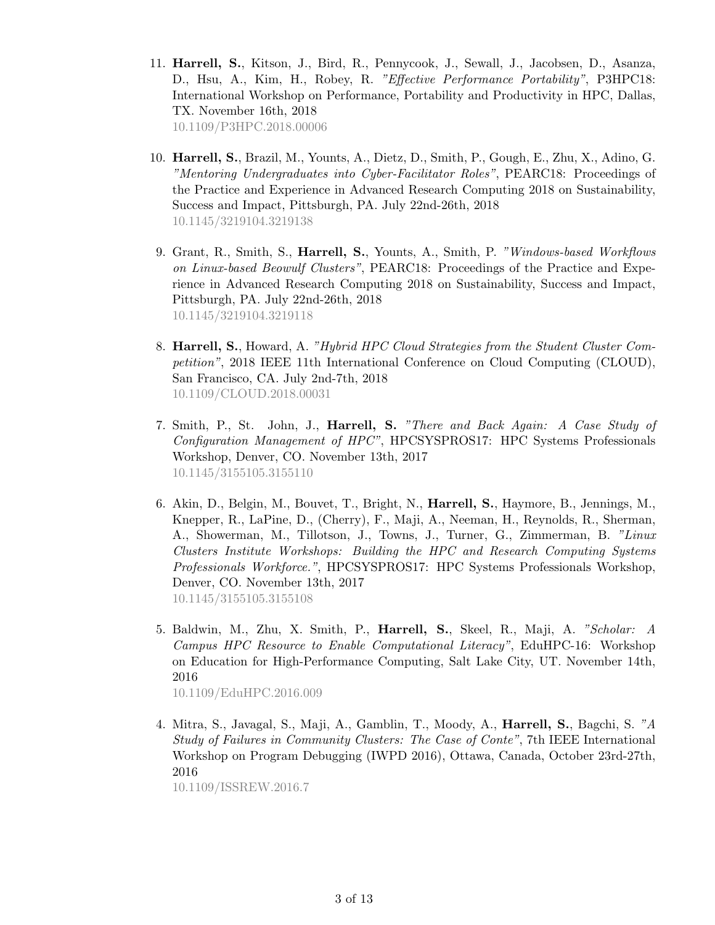- 11. Harrell, S., Kitson, J., Bird, R., Pennycook, J., Sewall, J., Jacobsen, D., Asanza, D., Hsu, A., Kim, H., Robey, R. "Effective Performance Portability", P3HPC18: International Workshop on Performance, Portability and Productivity in HPC, Dallas, TX. November 16th, 2018 [10.1109/P3HPC.2018.00006](https://doi.org/10.1109/P3HPC.2018.00006)
- 10. Harrell, S., Brazil, M., Younts, A., Dietz, D., Smith, P., Gough, E., Zhu, X., Adino, G. "Mentoring Undergraduates into Cyber-Facilitator Roles", PEARC18: Proceedings of the Practice and Experience in Advanced Research Computing 2018 on Sustainability, Success and Impact, Pittsburgh, PA. July 22nd-26th, 2018 [10.1145/3219104.3219138](https://doi.org/10.1145/3219104.3219138)
- 9. Grant, R., Smith, S., Harrell, S., Younts, A., Smith, P. "Windows-based Workflows on Linux-based Beowulf Clusters", PEARC18: Proceedings of the Practice and Experience in Advanced Research Computing 2018 on Sustainability, Success and Impact, Pittsburgh, PA. July 22nd-26th, 2018 [10.1145/3219104.3219118](https://doi.org/10.1145/3219104.3219118)
- 8. Harrell, S., Howard, A. "Hybrid HPC Cloud Strategies from the Student Cluster Competition", 2018 IEEE 11th International Conference on Cloud Computing (CLOUD), San Francisco, CA. July 2nd-7th, 2018 [10.1109/CLOUD.2018.00031](https://doi.org/10.1109/CLOUD.2018.00031)
- 7. Smith, P., St. John, J., Harrell, S. "There and Back Again: A Case Study of Configuration Management of HPC", HPCSYSPROS17: HPC Systems Professionals Workshop, Denver, CO. November 13th, 2017 [10.1145/3155105.3155110](https://doi.org/10.1145/3155105.3155110)
- 6. Akin, D., Belgin, M., Bouvet, T., Bright, N., Harrell, S., Haymore, B., Jennings, M., Knepper, R., LaPine, D., (Cherry), F., Maji, A., Neeman, H., Reynolds, R., Sherman, A., Showerman, M., Tillotson, J., Towns, J., Turner, G., Zimmerman, B. "Linux Clusters Institute Workshops: Building the HPC and Research Computing Systems Professionals Workforce.", HPCSYSPROS17: HPC Systems Professionals Workshop, Denver, CO. November 13th, 2017 [10.1145/3155105.3155108](https://doi.org/10.1145/3155105.3155108)
- 5. Baldwin, M., Zhu, X. Smith, P., Harrell, S., Skeel, R., Maji, A. "Scholar: A Campus HPC Resource to Enable Computational Literacy", EduHPC-16: Workshop on Education for High-Performance Computing, Salt Lake City, UT. November 14th, 2016 [10.1109/EduHPC.2016.009](https://doi.org/10.1109/EduHPC.2016.009)
- 4. Mitra, S., Javagal, S., Maji, A., Gamblin, T., Moody, A., Harrell, S., Bagchi, S. "A Study of Failures in Community Clusters: The Case of Conte", 7th IEEE International Workshop on Program Debugging (IWPD 2016), Ottawa, Canada, October 23rd-27th, 2016

[10.1109/ISSREW.2016.7](https://doi.org/10.1109/ISSREW.2016.7)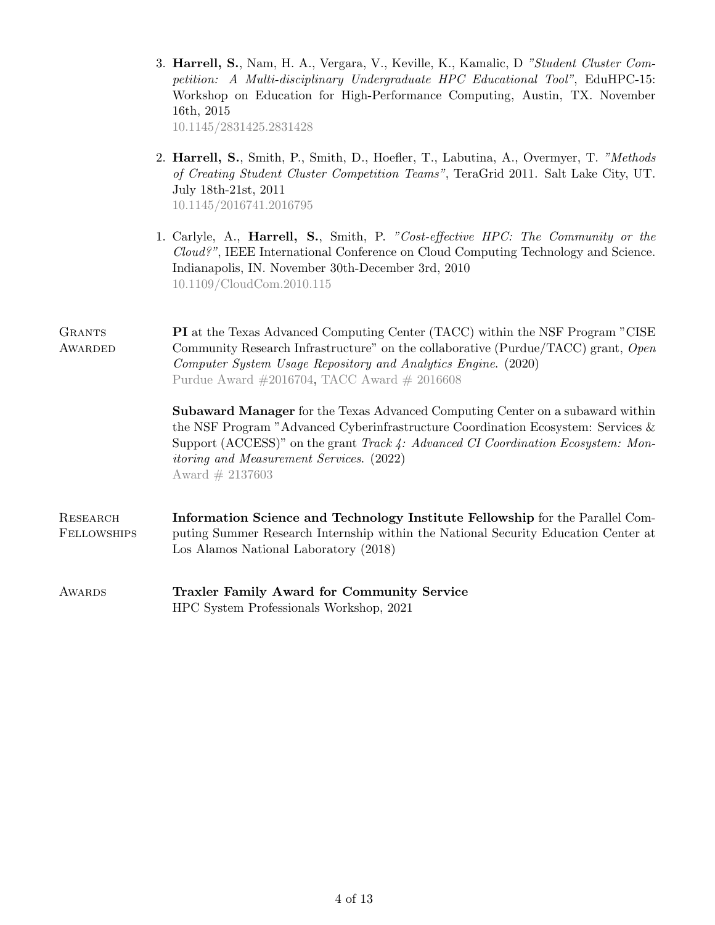|                                | 3. Harrell, S., Nam, H. A., Vergara, V., Keville, K., Kamalic, D "Student Cluster Com-<br>petition: A Multi-disciplinary Undergraduate HPC Educational Tool", EduHPC-15:<br>Workshop on Education for High-Performance Computing, Austin, TX. November<br>16th, 2015<br>10.1145/2831425.2831428                                          |
|--------------------------------|------------------------------------------------------------------------------------------------------------------------------------------------------------------------------------------------------------------------------------------------------------------------------------------------------------------------------------------|
|                                | 2. Harrell, S., Smith, P., Smith, D., Hoefler, T., Labutina, A., Overmyer, T. "Methods"<br>of Creating Student Cluster Competition Teams", TeraGrid 2011. Salt Lake City, UT.<br>July 18th-21st, 2011<br>10.1145/2016741.2016795                                                                                                         |
|                                | 1. Carlyle, A., <b>Harrell, S.</b> , Smith, P. "Cost-effective HPC: The Community or the<br>$Cloud$ <sup>2</sup> ", IEEE International Conference on Cloud Computing Technology and Science.<br>Indianapolis, IN. November 30th-December 3rd, 2010<br>10.1109/CloudCom.2010.115                                                          |
| <b>GRANTS</b><br>AWARDED       | <b>PI</b> at the Texas Advanced Computing Center (TACC) within the NSF Program "CISE<br>Community Research Infrastructure" on the collaborative (Purdue/TACC) grant, Open<br>Computer System Usage Repository and Analytics Engine. (2020)<br>Purdue Award $\#2016704$ , TACC Award $\#2016608$                                          |
|                                | <b>Subaward Manager</b> for the Texas Advanced Computing Center on a subaward within<br>the NSF Program "Advanced Cyberinfrastructure Coordination Ecosystem: Services $\&$<br>Support (ACCESS)" on the grant Track 4: Advanced CI Coordination Ecosystem: Mon-<br><i>itoring and Measurement Services.</i> (2022)<br>Award $\#$ 2137603 |
| <b>RESEARCH</b><br>FELLOWSHIPS | Information Science and Technology Institute Fellowship for the Parallel Com-<br>puting Summer Research Internship within the National Security Education Center at<br>Los Alamos National Laboratory (2018)                                                                                                                             |
| AWARDS                         | <b>Traxler Family Award for Community Service</b><br>HPC System Professionals Workshop, 2021                                                                                                                                                                                                                                             |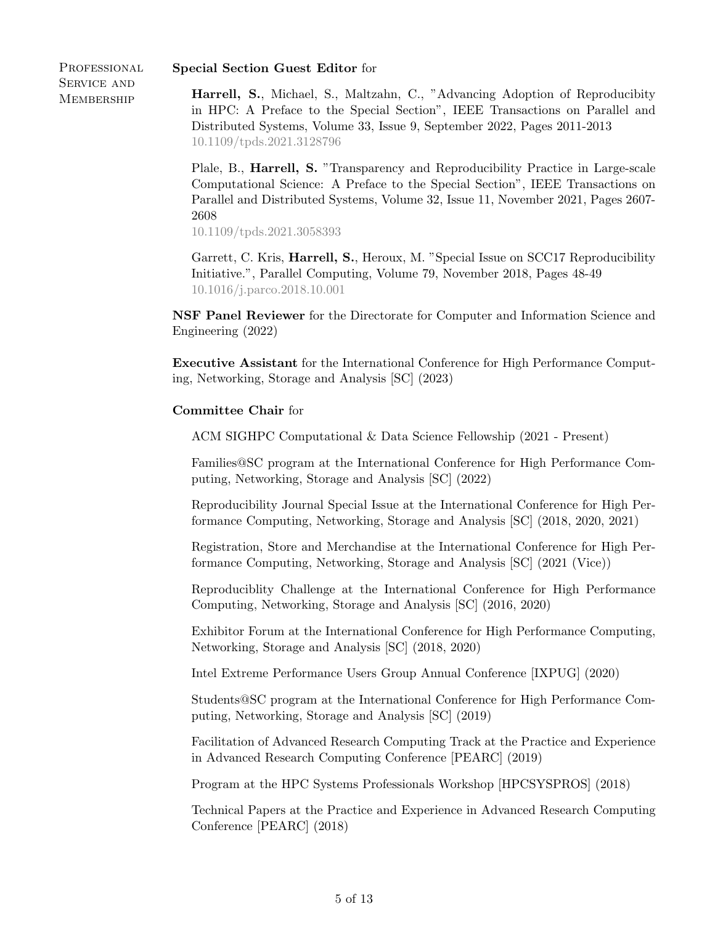### Special Section Guest Editor for

PROFESSIONAL Service and **MEMBERSHIP** 

Harrell, S., Michael, S., Maltzahn, C., "Advancing Adoption of Reproducibity in HPC: A Preface to the Special Section", IEEE Transactions on Parallel and Distributed Systems, Volume 33, Issue 9, September 2022, Pages 2011-2013 [10.1109/tpds.2021.3128796](https://doi.org/10.1109/tpds.2021.3128796)

Plale, B., Harrell, S. "Transparency and Reproducibility Practice in Large-scale Computational Science: A Preface to the Special Section", IEEE Transactions on Parallel and Distributed Systems, Volume 32, Issue 11, November 2021, Pages 2607- 2608

[10.1109/tpds.2021.3058393](https://doi.org/10.1109/TPDS.2021.3058393)

Garrett, C. Kris, Harrell, S., Heroux, M. "Special Issue on SCC17 Reproducibility Initiative.", Parallel Computing, Volume 79, November 2018, Pages 48-49 [10.1016/j.parco.2018.10.001](https://doi.org/10.1016/j.parco.2018.10.001)

NSF Panel Reviewer for the Directorate for Computer and Information Science and Engineering (2022)

Executive Assistant for the International Conference for High Performance Computing, Networking, Storage and Analysis [SC] (2023)

# Committee Chair for

ACM SIGHPC Computational & Data Science Fellowship (2021 - Present)

Families@SC program at the International Conference for High Performance Computing, Networking, Storage and Analysis [SC] (2022)

Reproducibility Journal Special Issue at the International Conference for High Performance Computing, Networking, Storage and Analysis [SC] (2018, 2020, 2021)

Registration, Store and Merchandise at the International Conference for High Performance Computing, Networking, Storage and Analysis [SC] (2021 (Vice))

Reproduciblity Challenge at the International Conference for High Performance Computing, Networking, Storage and Analysis [SC] (2016, 2020)

Exhibitor Forum at the International Conference for High Performance Computing, Networking, Storage and Analysis [SC] (2018, 2020)

Intel Extreme Performance Users Group Annual Conference [IXPUG] (2020)

Students@SC program at the International Conference for High Performance Computing, Networking, Storage and Analysis [SC] (2019)

Facilitation of Advanced Research Computing Track at the Practice and Experience in Advanced Research Computing Conference [PEARC] (2019)

Program at the HPC Systems Professionals Workshop [HPCSYSPROS] (2018)

Technical Papers at the Practice and Experience in Advanced Research Computing Conference [PEARC] (2018)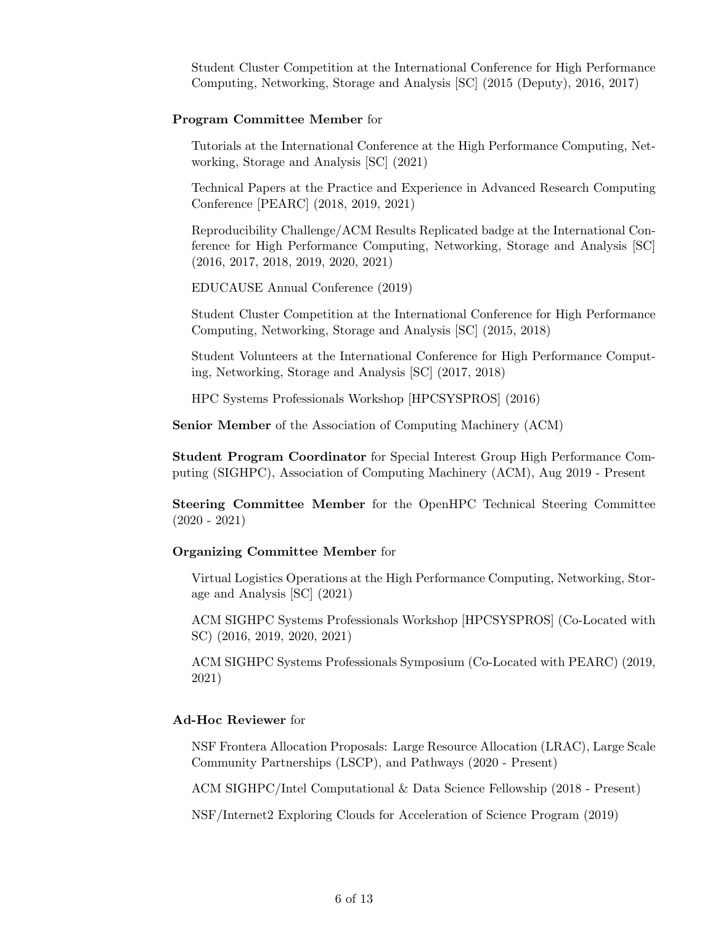Student Cluster Competition at the International Conference for High Performance Computing, Networking, Storage and Analysis [SC] (2015 (Deputy), 2016, 2017)

#### Program Committee Member for

Tutorials at the International Conference at the High Performance Computing, Networking, Storage and Analysis [SC] (2021)

Technical Papers at the Practice and Experience in Advanced Research Computing Conference [PEARC] (2018, 2019, 2021)

Reproducibility Challenge/ACM Results Replicated badge at the International Conference for High Performance Computing, Networking, Storage and Analysis [SC] (2016, 2017, 2018, 2019, 2020, 2021)

EDUCAUSE Annual Conference (2019)

Student Cluster Competition at the International Conference for High Performance Computing, Networking, Storage and Analysis [SC] (2015, 2018)

Student Volunteers at the International Conference for High Performance Computing, Networking, Storage and Analysis [SC] (2017, 2018)

HPC Systems Professionals Workshop [HPCSYSPROS] (2016)

Senior Member of the Association of Computing Machinery (ACM)

Student Program Coordinator for Special Interest Group High Performance Computing (SIGHPC), Association of Computing Machinery (ACM), Aug 2019 - Present

Steering Committee Member for the OpenHPC Technical Steering Committee (2020 - 2021)

# Organizing Committee Member for

Virtual Logistics Operations at the High Performance Computing, Networking, Storage and Analysis [SC] (2021)

ACM SIGHPC Systems Professionals Workshop [HPCSYSPROS] (Co-Located with SC) (2016, 2019, 2020, 2021)

ACM SIGHPC Systems Professionals Symposium (Co-Located with PEARC) (2019, 2021)

### Ad-Hoc Reviewer for

NSF Frontera Allocation Proposals: Large Resource Allocation (LRAC), Large Scale Community Partnerships (LSCP), and Pathways (2020 - Present)

ACM SIGHPC/Intel Computational & Data Science Fellowship (2018 - Present)

NSF/Internet2 Exploring Clouds for Acceleration of Science Program (2019)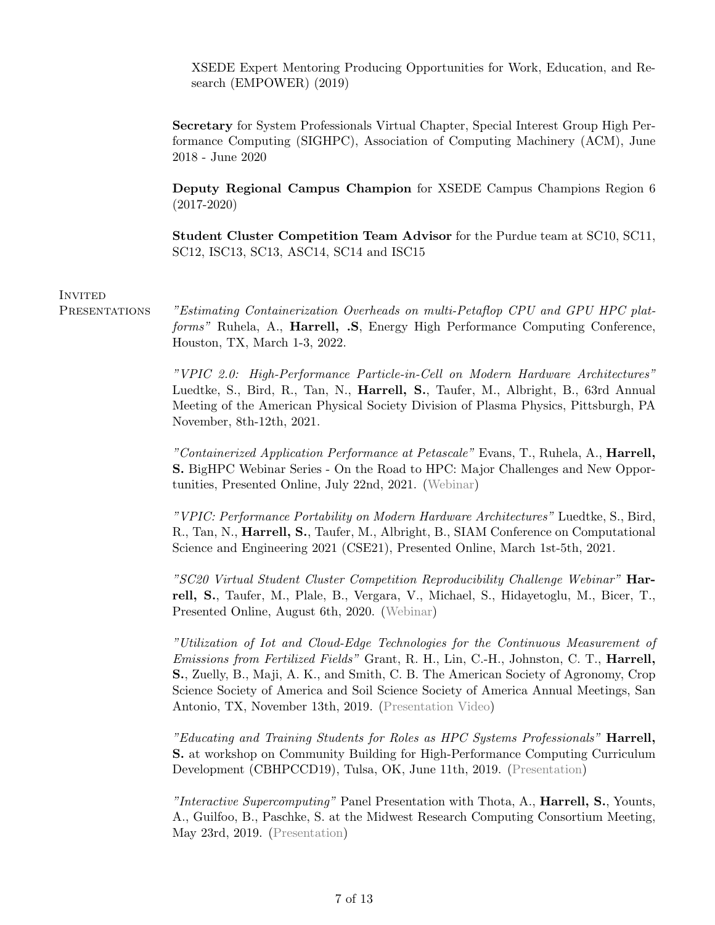XSEDE Expert Mentoring Producing Opportunities for Work, Education, and Research (EMPOWER) (2019)

Secretary for System Professionals Virtual Chapter, Special Interest Group High Performance Computing (SIGHPC), Association of Computing Machinery (ACM), June 2018 - June 2020

Deputy Regional Campus Champion for XSEDE Campus Champions Region 6 (2017-2020)

Student Cluster Competition Team Advisor for the Purdue team at SC10, SC11, SC12, ISC13, SC13, ASC14, SC14 and ISC15

#### **INVITED**

PRESENTATIONS "Estimating Containerization Overheads on multi-Petaflop CPU and GPU HPC platforms" Ruhela, A., Harrell, .S, Energy High Performance Computing Conference, Houston, TX, March 1-3, 2022.

> "VPIC 2.0: High-Performance Particle-in-Cell on Modern Hardware Architectures" Luedtke, S., Bird, R., Tan, N., Harrell, S., Taufer, M., Albright, B., 63rd Annual Meeting of the American Physical Society Division of Plasma Physics, Pittsburgh, PA November, 8th-12th, 2021.

> "Containerized Application Performance at Petascale" Evans, T., Ruhela, A., Harrell, S. BigHPC Webinar Series - On the Road to HPC: Major Challenges and New Opportunities, Presented Online, July 22nd, 2021. [\(Webinar\)](https://www.youtube.com/watch?v=mBsdI0iQWMU)

> "VPIC: Performance Portability on Modern Hardware Architectures" Luedtke, S., Bird, R., Tan, N., Harrell, S., Taufer, M., Albright, B., SIAM Conference on Computational Science and Engineering 2021 (CSE21), Presented Online, March 1st-5th, 2021.

> "SC20 Virtual Student Cluster Competition Reproducibility Challenge Webinar" Harrell, S., Taufer, M., Plale, B., Vergara, V., Michael, S., Hidayetoglu, M., Bicer, T., Presented Online, August 6th, 2020. [\(Webinar\)](https://teknikal.org/resume/pub/VSCC-Reproducibility-Webinar.mp4)

> "Utilization of Iot and Cloud-Edge Technologies for the Continuous Measurement of Emissions from Fertilized Fields" Grant, R. H., Lin, C.-H., Johnston, C. T., Harrell, S., Zuelly, B., Maji, A. K., and Smith, C. B. The American Society of Agronomy, Crop Science Society of America and Soil Science Society of America Annual Meetings, San Antonio, TX, November 13th, 2019. [\(Presentation Video\)](https://teknikal.org/resume/pub/UtilizationOfIOTAndCloud-EdgeTechnologiesForTheContinuousMeasurementOfEmissionsFromFertilizedFields.mp4)

> "Educating and Training Students for Roles as HPC Systems Professionals" Harrell, S. at workshop on Community Building for High-Performance Computing Curriculum Development (CBHPCCD19), Tulsa, OK, June 11th, 2019. [\(Presentation\)](https://teknikal.org/resume/pub/EducatingSYSPROStudents.pdf)

> "Interactive Supercomputing" Panel Presentation with Thota, A., Harrell, S., Younts, A., Guilfoo, B., Paschke, S. at the Midwest Research Computing Consortium Meeting, May 23rd, 2019. [\(Presentation\)](https://teknikal.org/resume/pub/MWRCCMeetingInteractiveSupercomputing.pdf)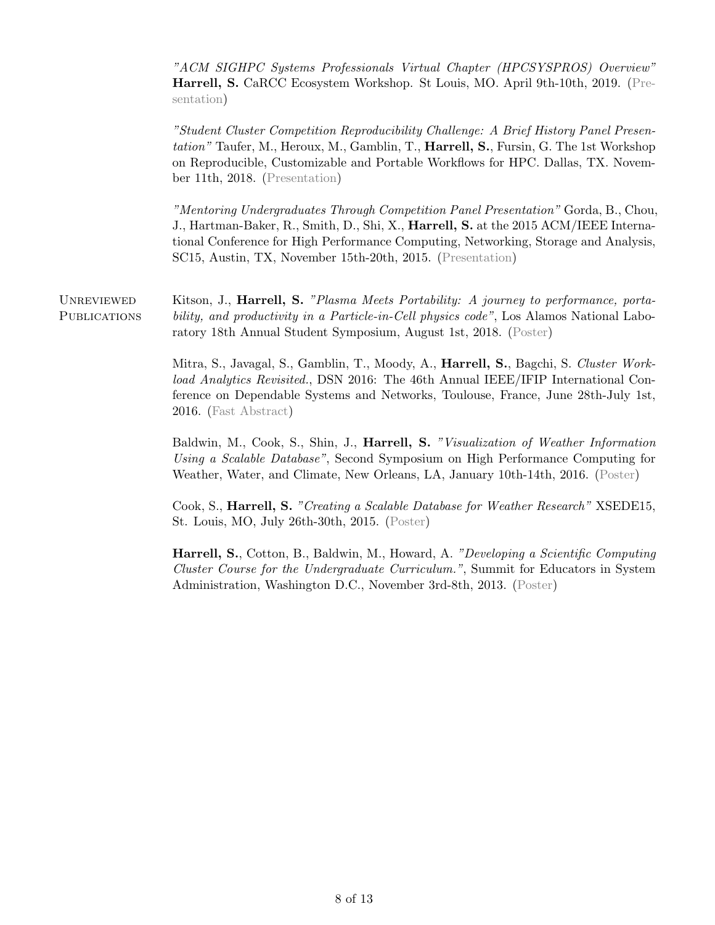"ACM SIGHPC Systems Professionals Virtual Chapter (HPCSYSPROS) Overview" Harrell, S. CaRCC Ecosystem Workshop. St Louis, MO. April 9th-10th, 2019. [\(Pre](https://teknikal.org/resume/pub/SIGHPCSYSPROS-EcosystemWorkshop.pdf)[sentation\)](https://teknikal.org/resume/pub/SIGHPCSYSPROS-EcosystemWorkshop.pdf)

"Student Cluster Competition Reproducibility Challenge: A Brief History Panel Presentation" Taufer, M., Heroux, M., Gamblin, T., Harrell, S., Fursin, G. The 1st Workshop on Reproducible, Customizable and Portable Workflows for HPC. Dallas, TX. November 11th, 2018. [\(Presentation\)](https://teknikal.org/resume/pub/StudentClusterCompetitionReproducibilityChallenge_ABriefHistory.pdf)

"Mentoring Undergraduates Through Competition Panel Presentation" Gorda, B., Chou, J., Hartman-Baker, R., Smith, D., Shi, X., Harrell, S. at the 2015 ACM/IEEE International Conference for High Performance Computing, Networking, Storage and Analysis, SC15, Austin, TX, November 15th-20th, 2015. [\(Presentation\)](https://teknikal.org/resume/pub/MentoringUndergraduatesThroughCompetition-Purdue.pdf)

UNREVIEWED Kitson, J., Harrell, S. "Plasma Meets Portability: A journey to performance, porta-PUBLICATIONS bility, and productivity in a Particle-in-Cell physics code", Los Alamos National Laboratory 18th Annual Student Symposium, August 1st, 2018. [\(Poster\)](https://teknikal.org/resume/pub/PlasmaMeetsPortabilityPoster.pdf)

> Mitra, S., Javagal, S., Gamblin, T., Moody, A., Harrell, S., Bagchi, S. Cluster Workload Analytics Revisited., DSN 2016: The 46th Annual IEEE/IFIP International Conference on Dependable Systems and Networks, Toulouse, France, June 28th-July 1st, 2016. [\(Fast Abstract\)](https://hal.archives-ouvertes.fr/hal-01316530/document)

> Baldwin, M., Cook, S., Shin, J., Harrell, S. "Visualization of Weather Information Using a Scalable Database", Second Symposium on High Performance Computing for Weather, Water, and Climate, New Orleans, LA, January 10th-14th, 2016. [\(Poster\)](https://teknikal.org/resume/pub/VisualizationOfWeatherInformationUsingAScalableDatabase.pdf)

> Cook, S., Harrell, S. "Creating a Scalable Database for Weather Research" XSEDE15, St. Louis, MO, July 26th-30th, 2015. [\(Poster\)](https://teknikal.org/resume/pub/CreatingAScalableDatabaseForWeather.pdf)

> Harrell, S., Cotton, B., Baldwin, M., Howard, A. "Developing a Scientific Computing Cluster Course for the Undergraduate Curriculum.", Summit for Educators in System Administration, Washington D.C., November 3rd-8th, 2013. [\(Poster\)](https://teknikal.org/resume/pub/DevelopingScientificComputingClusterCourse.pdf)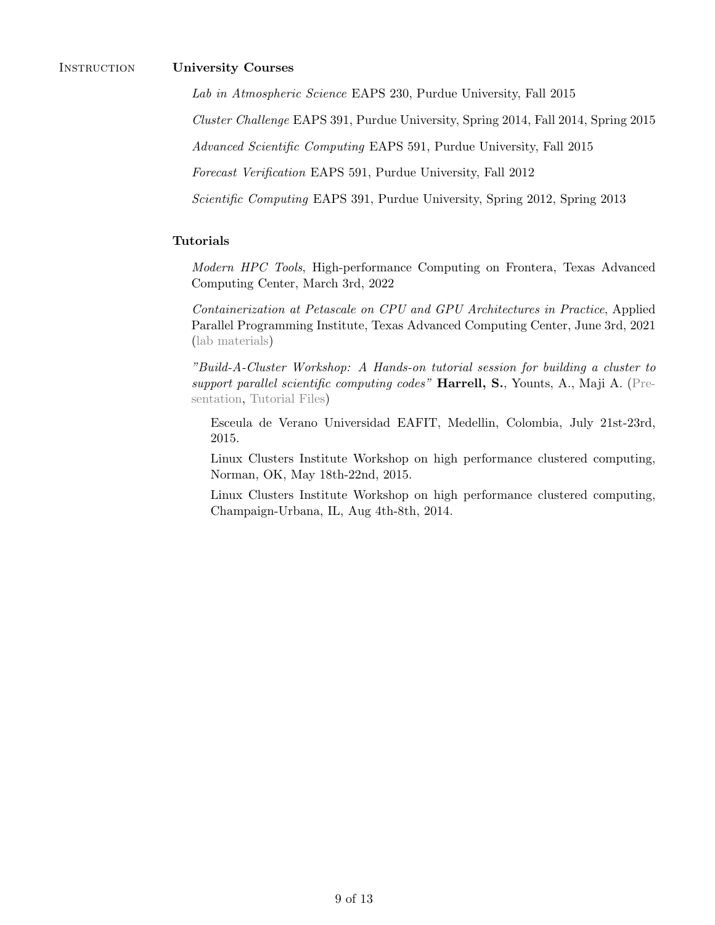# Instruction University Courses

Lab in Atmospheric Science EAPS 230, Purdue University, Fall 2015

Cluster Challenge EAPS 391, Purdue University, Spring 2014, Fall 2014, Spring 2015

Advanced Scientific Computing EAPS 591, Purdue University, Fall 2015

Forecast Verification EAPS 591, Purdue University, Fall 2012

Scientific Computing EAPS 391, Purdue University, Spring 2012, Spring 2013

# Tutorials

Modern HPC Tools, High-performance Computing on Frontera, Texas Advanced Computing Center, March 3rd, 2022

Containerization at Petascale on CPU and GPU Architectures in Practice, Applied Parallel Programming Institute, Texas Advanced Computing Center, June 3rd, 2021 [\(lab materials\)](https://teknikal.org/resume/pub/ContainerizationAtPetascaleInPractice.pdf)

"Build-A-Cluster Workshop: A Hands-on tutorial session for building a cluster to support parallel scientific computing codes" Harrell, S., Younts, A., Maji A. [\(Pre](https://teknikal.org/resume/pub/Build-A-Cluster-updated.pdf)[sentation,](https://teknikal.org/resume/pub/Build-A-Cluster-updated.pdf) [Tutorial Files\)](https://teknikal.org/resume/pub/buildacluster.zip)

Esceula de Verano Universidad EAFIT, Medellin, Colombia, July 21st-23rd, 2015.

Linux Clusters Institute Workshop on high performance clustered computing, Norman, OK, May 18th-22nd, 2015.

Linux Clusters Institute Workshop on high performance clustered computing, Champaign-Urbana, IL, Aug 4th-8th, 2014.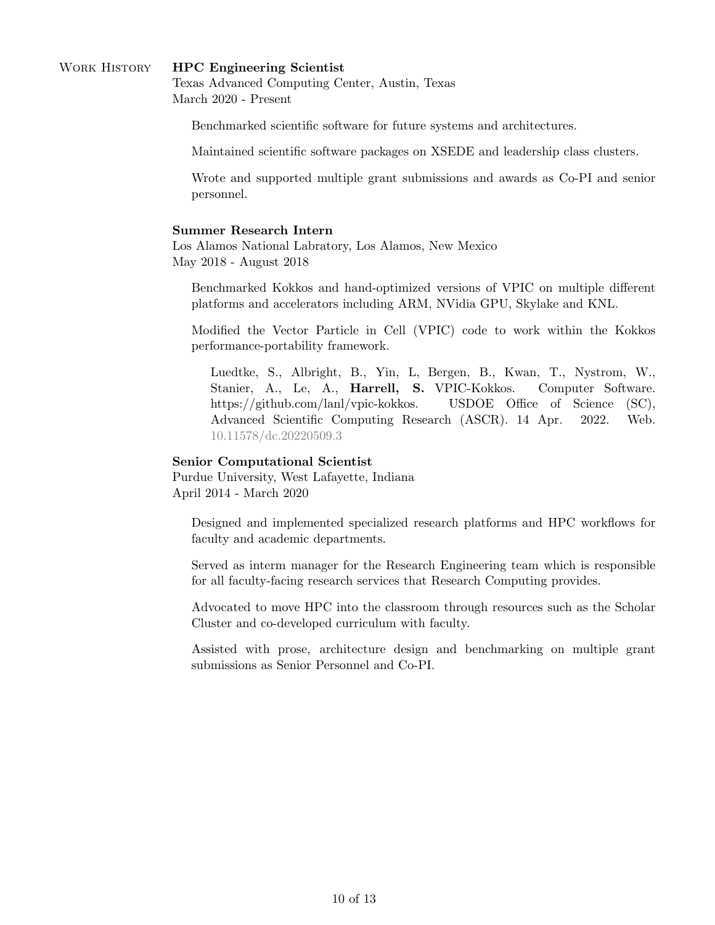# WORK HISTORY **HPC Engineering Scientist**

Texas Advanced Computing Center, Austin, Texas March 2020 - Present

Benchmarked scientific software for future systems and architectures.

Maintained scientific software packages on XSEDE and leadership class clusters.

Wrote and supported multiple grant submissions and awards as Co-PI and senior personnel.

#### Summer Research Intern

Los Alamos National Labratory, Los Alamos, New Mexico May 2018 - August 2018

Benchmarked Kokkos and hand-optimized versions of VPIC on multiple different platforms and accelerators including ARM, NVidia GPU, Skylake and KNL.

Modified the Vector Particle in Cell (VPIC) code to work within the Kokkos performance-portability framework.

Luedtke, S., Albright, B., Yin, L, Bergen, B., Kwan, T., Nystrom, W., Stanier, A., Le, A., Harrell, S. VPIC-Kokkos. Computer Software. https://github.com/lanl/vpic-kokkos. USDOE Office of Science (SC), Advanced Scientific Computing Research (ASCR). 14 Apr. 2022. Web. [10.11578/dc.20220509.3](https://doi.org/10.11578/dc.20220509.3)

#### Senior Computational Scientist

Purdue University, West Lafayette, Indiana April 2014 - March 2020

Designed and implemented specialized research platforms and HPC workflows for faculty and academic departments.

Served as interm manager for the Research Engineering team which is responsible for all faculty-facing research services that Research Computing provides.

Advocated to move HPC into the classroom through resources such as the Scholar Cluster and co-developed curriculum with faculty.

Assisted with prose, architecture design and benchmarking on multiple grant submissions as Senior Personnel and Co-PI.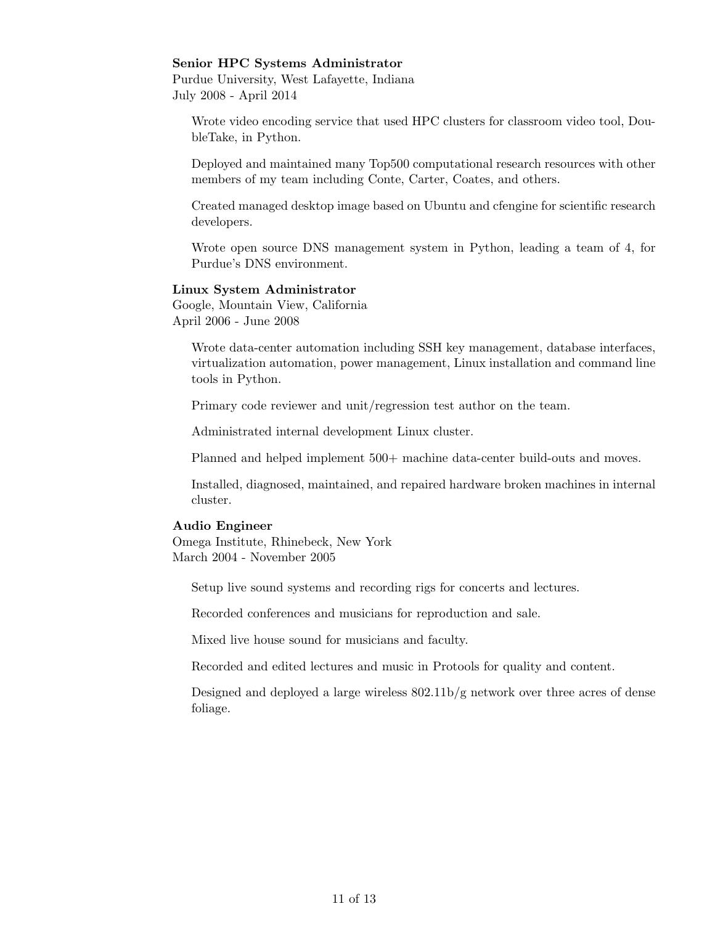### Senior HPC Systems Administrator

Purdue University, West Lafayette, Indiana July 2008 - April 2014

Wrote video encoding service that used HPC clusters for classroom video tool, DoubleTake, in Python.

Deployed and maintained many Top500 computational research resources with other members of my team including Conte, Carter, Coates, and others.

Created managed desktop image based on Ubuntu and cfengine for scientific research developers.

Wrote open source DNS management system in Python, leading a team of 4, for Purdue's DNS environment.

## Linux System Administrator

Google, Mountain View, California April 2006 - June 2008

Wrote data-center automation including SSH key management, database interfaces, virtualization automation, power management, Linux installation and command line tools in Python.

Primary code reviewer and unit/regression test author on the team.

Administrated internal development Linux cluster.

Planned and helped implement 500+ machine data-center build-outs and moves.

Installed, diagnosed, maintained, and repaired hardware broken machines in internal cluster.

### Audio Engineer

Omega Institute, Rhinebeck, New York March 2004 - November 2005

Setup live sound systems and recording rigs for concerts and lectures.

Recorded conferences and musicians for reproduction and sale.

Mixed live house sound for musicians and faculty.

Recorded and edited lectures and music in Protools for quality and content.

Designed and deployed a large wireless 802.11b/g network over three acres of dense foliage.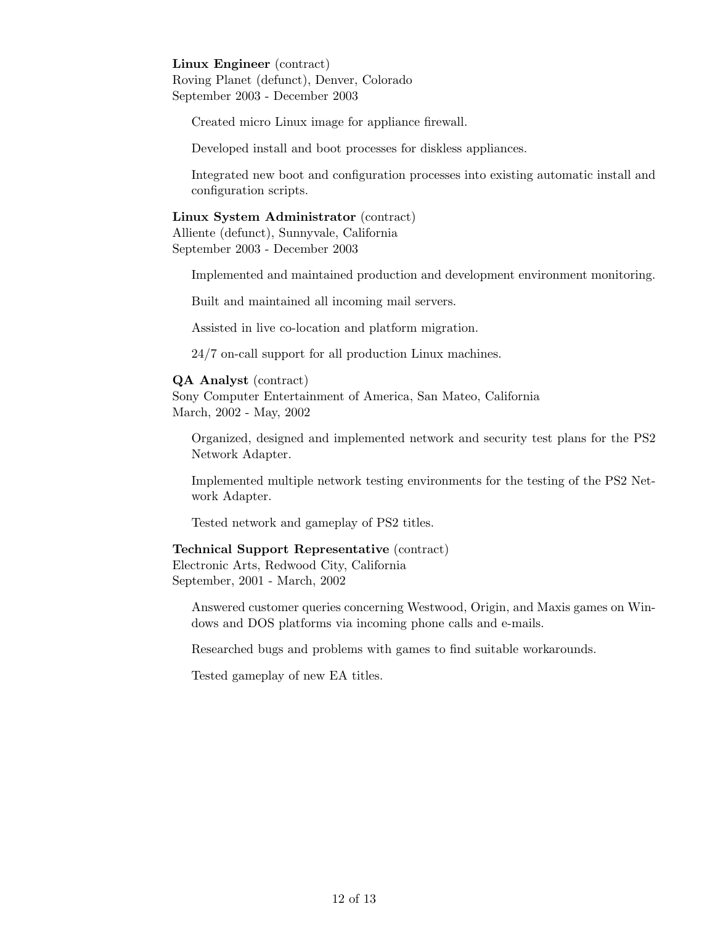# Linux Engineer (contract)

Roving Planet (defunct), Denver, Colorado September 2003 - December 2003

Created micro Linux image for appliance firewall.

Developed install and boot processes for diskless appliances.

Integrated new boot and configuration processes into existing automatic install and configuration scripts.

## Linux System Administrator (contract)

Alliente (defunct), Sunnyvale, California September 2003 - December 2003

Implemented and maintained production and development environment monitoring.

Built and maintained all incoming mail servers.

Assisted in live co-location and platform migration.

24/7 on-call support for all production Linux machines.

# QA Analyst (contract)

Sony Computer Entertainment of America, San Mateo, California March, 2002 - May, 2002

Organized, designed and implemented network and security test plans for the PS2 Network Adapter.

Implemented multiple network testing environments for the testing of the PS2 Network Adapter.

Tested network and gameplay of PS2 titles.

# Technical Support Representative (contract)

Electronic Arts, Redwood City, California September, 2001 - March, 2002

Answered customer queries concerning Westwood, Origin, and Maxis games on Windows and DOS platforms via incoming phone calls and e-mails.

Researched bugs and problems with games to find suitable workarounds.

Tested gameplay of new EA titles.